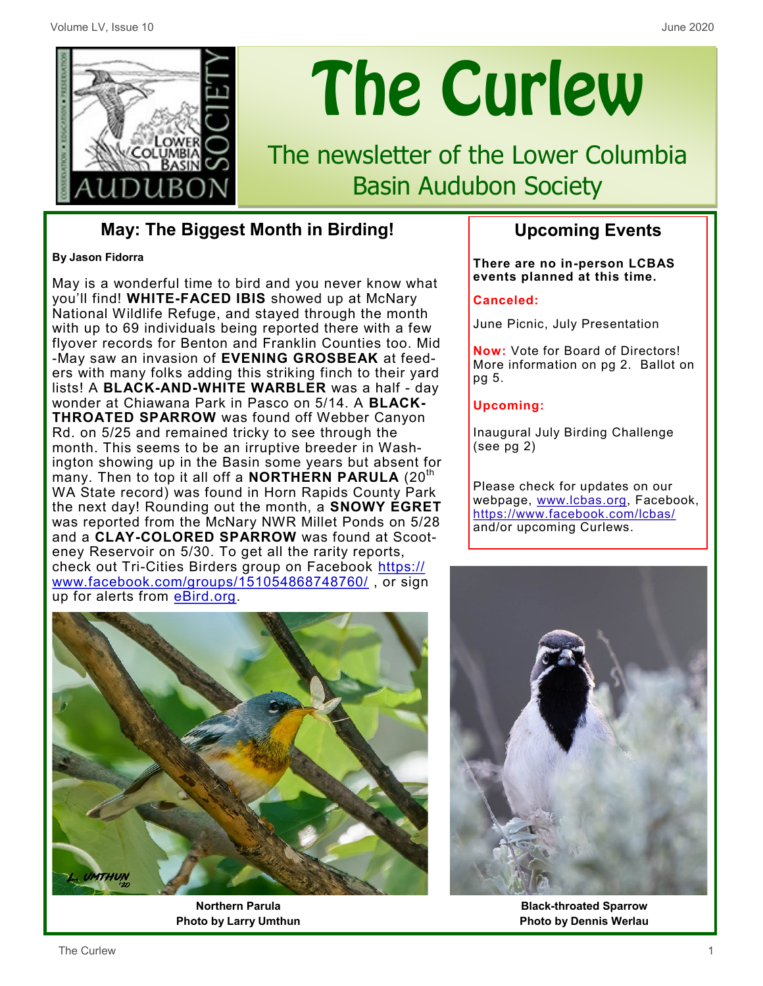

# The Curlew

The newsletter of the Lower Columbia Basin Audubon Society

## **May: The Biggest Month in Birding!**

#### **By Jason Fidorra**

May is a wonderful time to bird and you never know what you'll find! **WHITE-FACED IBIS** showed up at McNary National Wildlife Refuge, and stayed through the month with up to 69 individuals being reported there with a few flyover records for Benton and Franklin Counties too. Mid -May saw an invasion of **EVENING GROSBEAK** at feeders with many folks adding this striking finch to their yard lists! A **BLACK-AND-WHITE WARBLER** was a half - day wonder at Chiawana Park in Pasco on 5/14. A **BLACK-THROATED SPARROW** was found off Webber Canyon Rd. on 5/25 and remained tricky to see through the month. This seems to be an irruptive breeder in Washington showing up in the Basin some years but absent for many. Then to top it all off a **NORTHERN PARULA** (20<sup>th</sup>) WA State record) was found in Horn Rapids County Park the next day! Rounding out the month, a **SNOWY EGRET**  was reported from the McNary NWR Millet Ponds on 5/28 and a **CLAY-COLORED SPARROW** was found at Scooteney Reservoir on 5/30. To get all the rarity reports, check out Tri-Cities Birders group on Facebook [https://](https://www.facebook.com/groups/151054868748760/) [www.facebook.com/groups/151054868748760/](https://www.facebook.com/groups/151054868748760/) or sign up for alerts from eBird.org.



**Northern Parula Photo by Larry Umthun**

### **Upcoming Events**

**There are no in-person LCBAS events planned at this time.** 

#### **Canceled:**

June Picnic, July Presentation

**Now:** Vote for Board of Directors! More information on pg 2. Ballot on pg 5.

#### **Upcoming:**

Inaugural July Birding Challenge (see pg 2)

Please check for updates on our webpage, www.lcbas.org, Facebook, <https://www.facebook.com/lcbas/> and/or upcoming Curlews.



**Black-throated Sparrow Photo by Dennis Werlau**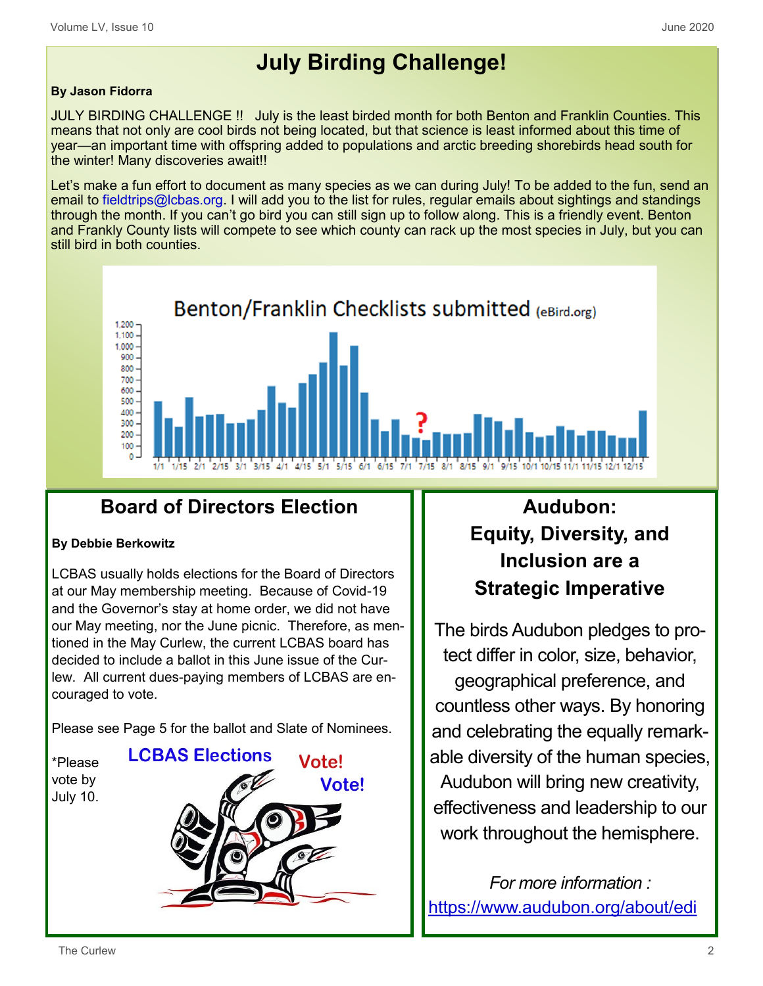# **July Birding Challenge!**

#### **By Jason Fidorra**

JULY BIRDING CHALLENGE !! July is the least birded month for both Benton and Franklin Counties. This means that not only are cool birds not being located, but that science is least informed about this time of year—an important time with offspring added to populations and arctic breeding shorebirds head south for the winter! Many discoveries await!!

Let's make a fun effort to document as many species as we can during July! To be added to the fun, send an email to fieldtrips@lcbas.org. I will add you to the list for rules, regular emails about sightings and standings through the month. If you can't go bird you can still sign up to follow along. This is a friendly event. Benton and Frankly County lists will compete to see which county can rack up the most species in July, but you can still bird in both counties.



# **Board of Directors Election**

#### **By Debbie Berkowitz**

LCBAS usually holds elections for the Board of Directors at our May membership meeting. Because of Covid-19 and the Governor's stay at home order, we did not have our May meeting, nor the June picnic. Therefore, as mentioned in the May Curlew, the current LCBAS board has decided to include a ballot in this June issue of the Curlew. All current dues-paying members of LCBAS are encouraged to vote.

Please see Page 5 for the ballot and Slate of Nominees.

\*Please vote by July 10.



# **Audubon: Equity, Diversity, and Inclusion are a Strategic Imperative**

The birds Audubon pledges to protect differ in color, size, behavior, geographical preference, and countless other ways. By honoring and celebrating the equally remarkable diversity of the human species, Audubon will bring new creativity, effectiveness and leadership to our work throughout the hemisphere.

*For more information :* <https://www.audubon.org/about/edi>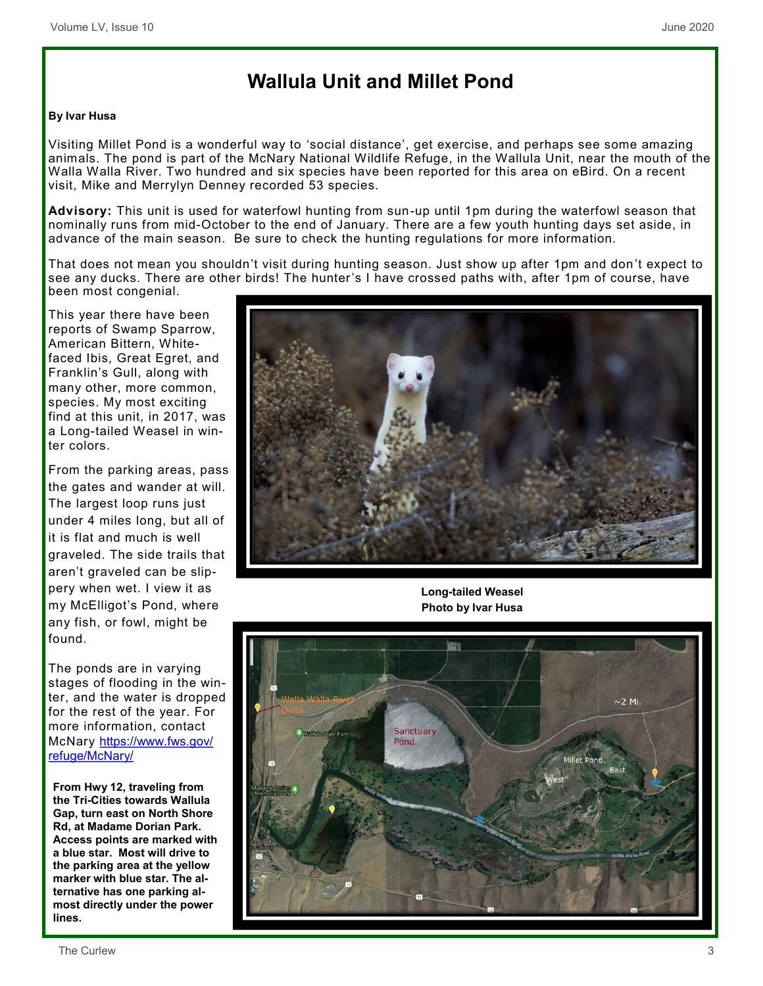# **Wallula Unit and Millet Pond**

#### **By Ivar Husa**

Visiting Millet Pond is a wonderful way to 'social distance', get exercise, and perhaps see some amazing animals. The pond is part of the McNary National Wildlife Refuge, in the Wallula Unit, near the mouth of the Walla Walla River. Two hundred and six species have been reported for this area on eBird. On a recent visit, Mike and Merrylyn Denney recorded 53 species.

**Advisory:** This unit is used for waterfowl hunting from sun-up until 1pm during the waterfowl season that nominally runs from mid-October to the end of January. There are a few youth hunting days set aside, in advance of the main season. Be sure to check the hunting regulations for more information.

That does not mean you shouldn't visit during hunting season. Just show up after 1pm and don 't expect to see any ducks. There are other birds! The hunter's I have crossed paths with, after 1pm of course, have been most congenial.

This year there have been reports of Swamp Sparrow, American Bittern, Whitefaced Ibis, Great Egret, and Franklin's Gull, along with many other, more common, species. My most exciting find at this unit, in 2017, was a Long-tailed Weasel in winter colors.

From the parking areas, pass the gates and wander at will. The largest loop runs just under 4 miles long, but all of it is flat and much is well graveled. The side trails that aren't graveled can be slippery when wet. I view it as my McElligot's Pond, where any fish, or fowl, might be found.

The ponds are in varying stages of flooding in the winter, and the water is dropped for the rest of the year. For more information, contact McNary [https://www.fws.gov/](https://www.fws.gov/refuge/McNary/) [refuge/McNary/](https://www.fws.gov/refuge/McNary/)

**From Hwy 12, traveling from the Tri-Cities towards Wallula Gap, turn east on North Shore Rd, at Madame Dorian Park. Access points are marked with a blue star. Most will drive to the parking area at the yellow marker with blue star. The alternative has one parking almost directly under the power lines.**



**Long-tailed Weasel Photo by Ivar Husa**

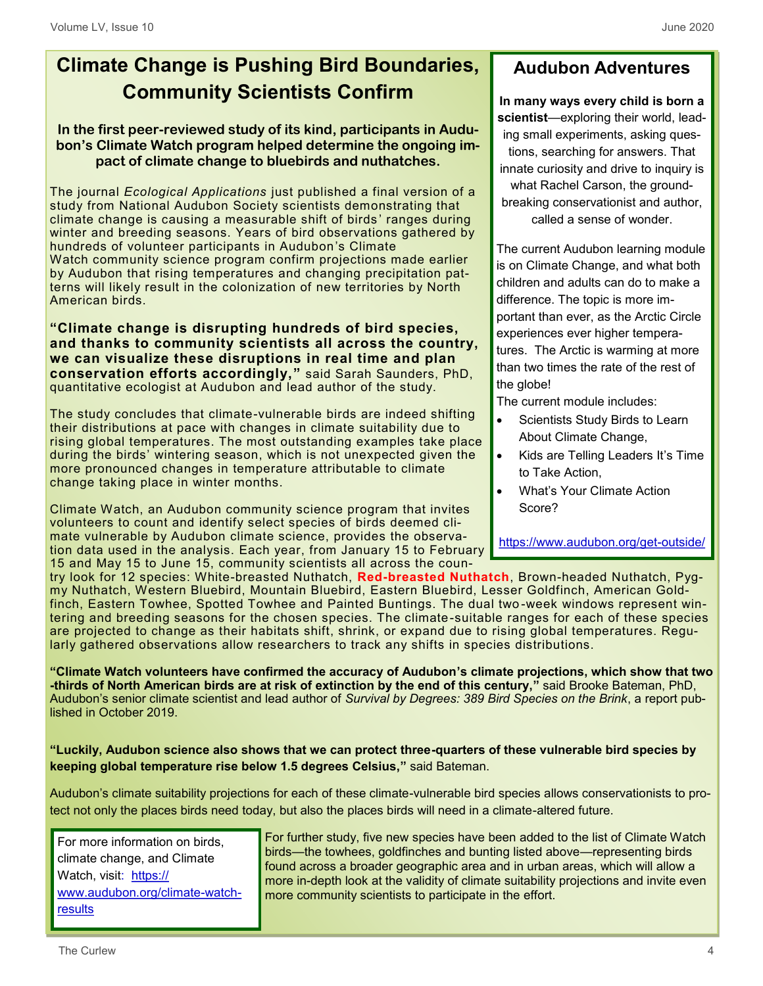# **Climate Change is Pushing Bird Boundaries, Community Scientists Confirm**

#### **In the first peer-reviewed study of its kind, participants in Audubon's Climate Watch program helped determine the ongoing impact of climate change to bluebirds and nuthatches.**

The journal *Ecological Applications* just [published a final version of a](https://esajournals.onlinelibrary.wiley.com/doi/abs/10.1002/eap.2128)  [study](https://esajournals.onlinelibrary.wiley.com/doi/abs/10.1002/eap.2128) from National Audubon Society scientists demonstrating that climate change is causing a measurable shift of birds ' ranges during winter and breeding seasons. Years of bird observations gathered by hundreds of volunteer participants in Audubon's [Climate](https://www.audubon.org/conservation/climate-watch)  [Watch](https://www.audubon.org/conservation/climate-watch) community science program confirm projections made earlier by Audubon that rising temperatures and changing precipitation patterns will likely result in the colonization of new territories by North American birds.

**"Climate change is disrupting hundreds of bird species, and thanks to community scientists all across the country, we can visualize these disruptions in real time and plan conservation efforts accordingly,"** said [Sarah Saunders,](https://www.audubon.org/content/sarah-saunders) PhD, quantitative ecologist at Audubon and lead author of the study.

The study concludes that climate-vulnerable birds are indeed shifting their distributions at pace with changes in climate suitability due to rising global temperatures. The most outstanding examples take place during the birds' wintering season, which is not unexpected given the more pronounced changes in temperature attributable to climate change taking place in winter months.

Climate Watch, an Audubon community science program that invites volunteers to count and identify select species of birds deemed climate vulnerable by Audubon climate science, provides the observation data used in the analysis. Each year, from January 15 to February 15 and May 15 to June 15, community scientists all across the coun-

# **Audubon Adventures**

**In many ways every child is born a scientist**—exploring their world, leading small experiments, asking questions, searching for answers. That innate curiosity and drive to inquiry is what Rachel Carson, the groundbreaking conservationist and author, called a sense of wonder.

The current Audubon learning module is on Climate Change, and what both children and adults can do to make a difference. The topic is more important than ever, as the Arctic Circle experiences ever higher temperatures. The Arctic is warming at more than two times the rate of the rest of the globe!

The current module includes:

- Scientists Study Birds to Learn About Climate Change,
- Kids are Telling Leaders It's Time to Take Action,
- What's Your Climate Action Score?

[https://www.audubon.org/get](https://www.audubon.org/get-outside/activities/audubon-for-kids)-outside/

try [look for 12 species:](https://www.audubon.org/news/if-you-can-identify-any-these-birds-youre-ready-climate-watch) White-breasted Nuthatch, **Red-breasted Nuthatch**, Brown-headed Nuthatch, Pygmy Nuthatch, Western Bluebird, Mountain Bluebird, Eastern Bluebird, Lesser Goldfinch, American Goldfinch, Eastern Towhee, Spotted Towhee and Painted Buntings. The dual two -week windows represent wintering and breeding seasons for the chosen species. The climate-suitable ranges for each of these species are projected to change as their habitats shift, shrink, or expand due to rising global temperatures. Regularly gathered observations allow researchers to track any shifts in species distributions.

**"Climate Watch volunteers have confirmed the accuracy of Audubon's climate projections, which show that two -thirds of North American birds are at risk of extinction by the end of this century,"** said [Brooke Bateman,](https://www.audubon.org/content/brooke-bateman) PhD, Audubon's senior climate scientist and lead author of *[Survival by Degrees: 389 Bird Species on the Brink](https://www.audubon.org/climate/survivalbydegrees)*, a report published in October 2019.

**"Luckily, Audubon science also shows that we can protect three-quarters of these vulnerable bird species by keeping global temperature rise below 1.5 degrees Celsius,"** said Bateman.

Audubon's climate suitability projections for each of these climate-vulnerable bird species allows conservationists to protect not only the places birds need today, but also the places birds will need in a climate-altered future.

For more information on birds, climate change, and Climate Watch, visit: [https://](https://www.audubon.org/climate-watch-results) [www.audubon.org/climate](https://www.audubon.org/climate-watch-results)-watch[results](https://www.audubon.org/climate-watch-results)

For further study, five new species have been added to the list of Climate Watch birds—the towhees, goldfinches and bunting listed above—representing birds found across a broader geographic area and in urban areas, which will allow a more in-depth look at the validity of climate suitability projections and invite even more community scientists to participate in the effort.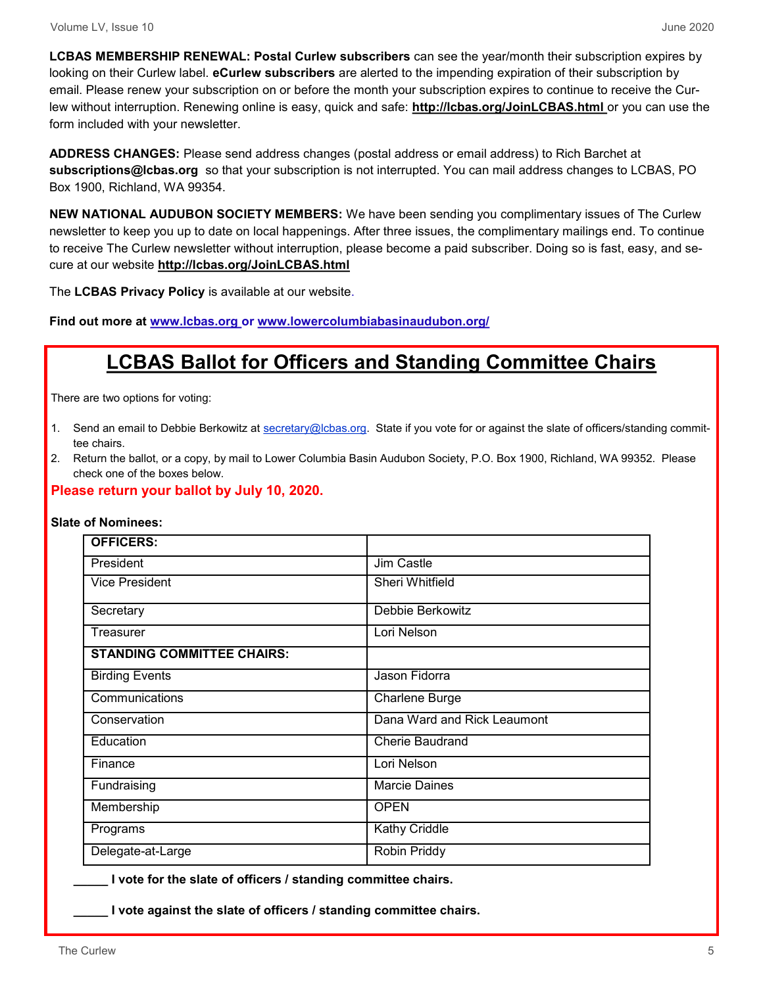**LCBAS MEMBERSHIP RENEWAL: Postal Curlew subscribers** can see the year/month their subscription expires by looking on their Curlew label. **eCurlew subscribers** are alerted to the impending expiration of their subscription by email. Please renew your subscription on or before the month your subscription expires to continue to receive the Curlew without interruption. Renewing online is easy, quick and safe: **http://lcbas.org/JoinLCBAS.html** or you can use the form included with your newsletter.

**ADDRESS CHANGES:** Please send address changes (postal address or email address) to Rich Barchet at **subscriptions@lcbas.org** so that your subscription is not interrupted. You can mail address changes to LCBAS, PO Box 1900, Richland, WA 99354.

**NEW NATIONAL AUDUBON SOCIETY MEMBERS:** We have been sending you complimentary issues of The Curlew newsletter to keep you up to date on local happenings. After three issues, the complimentary mailings end. To continue to receive The Curlew newsletter without interruption, please become a paid subscriber. Doing so is fast, easy, and secure at our website **http://lcbas.org/JoinLCBAS.html**

The **LCBAS Privacy Policy** is available at our website.

**Find out more at www.lcbas.org or www.lowercolumbiabasinaudubon.org/**

# **LCBAS Ballot for Officers and Standing Committee Chairs**

There are two options for voting:

- 1. Send an email to Debbie Berkowitz at [secretary@lcbas.org.](mailto:secretary@lcbas.org) State if you vote for or against the slate of officers/standing committee chairs.
- 2. Return the ballot, or a copy, by mail to Lower Columbia Basin Audubon Society, P.O. Box 1900, Richland, WA 99352. Please check one of the boxes below.

**Please return your ballot by July 10, 2020.**

|  | Slate of Nominees: |  |
|--|--------------------|--|
|  |                    |  |

| <b>OFFICERS:</b>                  |                             |
|-----------------------------------|-----------------------------|
| President                         | Jim Castle                  |
| <b>Vice President</b>             | Sheri Whitfield             |
| Secretary                         | Debbie Berkowitz            |
| Treasurer                         | Lori Nelson                 |
| <b>STANDING COMMITTEE CHAIRS:</b> |                             |
| <b>Birding Events</b>             | Jason Fidorra               |
| Communications                    | Charlene Burge              |
| Conservation                      | Dana Ward and Rick Leaumont |
| Education                         | Cherie Baudrand             |
| Finance                           | Lori Nelson                 |
| Fundraising                       | <b>Marcie Daines</b>        |
| Membership                        | <b>OPEN</b>                 |
| Programs                          | Kathy Criddle               |
| Delegate-at-Large                 | Robin Priddy                |

**\_\_\_\_\_ I vote for the slate of officers / standing committee chairs.**

**\_\_\_\_\_ I vote against the slate of officers / standing committee chairs.**